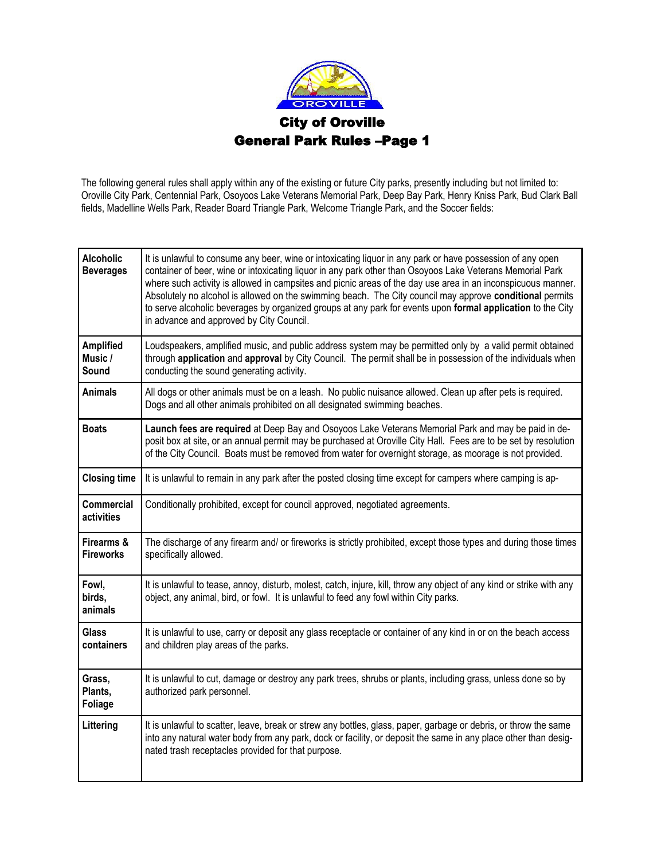

The following general rules shall apply within any of the existing or future City parks, presently including but not limited to: Oroville City Park, Centennial Park, Osoyoos Lake Veterans Memorial Park, Deep Bay Park, Henry Kniss Park, Bud Clark Ball fields, Madelline Wells Park, Reader Board Triangle Park, Welcome Triangle Park, and the Soccer fields:

| <b>Alcoholic</b><br><b>Beverages</b> | It is unlawful to consume any beer, wine or intoxicating liquor in any park or have possession of any open<br>container of beer, wine or intoxicating liquor in any park other than Osoyoos Lake Veterans Memorial Park<br>where such activity is allowed in campsites and picnic areas of the day use area in an inconspicuous manner.<br>Absolutely no alcohol is allowed on the swimming beach. The City council may approve conditional permits<br>to serve alcoholic beverages by organized groups at any park for events upon formal application to the City<br>in advance and approved by City Council. |
|--------------------------------------|----------------------------------------------------------------------------------------------------------------------------------------------------------------------------------------------------------------------------------------------------------------------------------------------------------------------------------------------------------------------------------------------------------------------------------------------------------------------------------------------------------------------------------------------------------------------------------------------------------------|
| <b>Amplified</b><br>Music /<br>Sound | Loudspeakers, amplified music, and public address system may be permitted only by a valid permit obtained<br>through application and approval by City Council. The permit shall be in possession of the individuals when<br>conducting the sound generating activity.                                                                                                                                                                                                                                                                                                                                          |
| <b>Animals</b>                       | All dogs or other animals must be on a leash. No public nuisance allowed. Clean up after pets is required.<br>Dogs and all other animals prohibited on all designated swimming beaches.                                                                                                                                                                                                                                                                                                                                                                                                                        |
| <b>Boats</b>                         | Launch fees are required at Deep Bay and Osoyoos Lake Veterans Memorial Park and may be paid in de-<br>posit box at site, or an annual permit may be purchased at Oroville City Hall. Fees are to be set by resolution<br>of the City Council. Boats must be removed from water for overnight storage, as moorage is not provided.                                                                                                                                                                                                                                                                             |
| <b>Closing time</b>                  | It is unlawful to remain in any park after the posted closing time except for campers where camping is ap-                                                                                                                                                                                                                                                                                                                                                                                                                                                                                                     |
| <b>Commercial</b><br>activities      | Conditionally prohibited, except for council approved, negotiated agreements.                                                                                                                                                                                                                                                                                                                                                                                                                                                                                                                                  |
| Firearms &<br><b>Fireworks</b>       | The discharge of any firearm and/ or fireworks is strictly prohibited, except those types and during those times<br>specifically allowed.                                                                                                                                                                                                                                                                                                                                                                                                                                                                      |
| Fowl,<br>birds,<br>animals           | It is unlawful to tease, annoy, disturb, molest, catch, injure, kill, throw any object of any kind or strike with any<br>object, any animal, bird, or fowl. It is unlawful to feed any fowl within City parks.                                                                                                                                                                                                                                                                                                                                                                                                 |
| <b>Glass</b><br>containers           | It is unlawful to use, carry or deposit any glass receptacle or container of any kind in or on the beach access<br>and children play areas of the parks.                                                                                                                                                                                                                                                                                                                                                                                                                                                       |
| Grass,<br>Plants,<br><b>Foliage</b>  | It is unlawful to cut, damage or destroy any park trees, shrubs or plants, including grass, unless done so by<br>authorized park personnel.                                                                                                                                                                                                                                                                                                                                                                                                                                                                    |
| Littering                            | It is unlawful to scatter, leave, break or strew any bottles, glass, paper, garbage or debris, or throw the same<br>into any natural water body from any park, dock or facility, or deposit the same in any place other than desig-<br>nated trash receptacles provided for that purpose.                                                                                                                                                                                                                                                                                                                      |